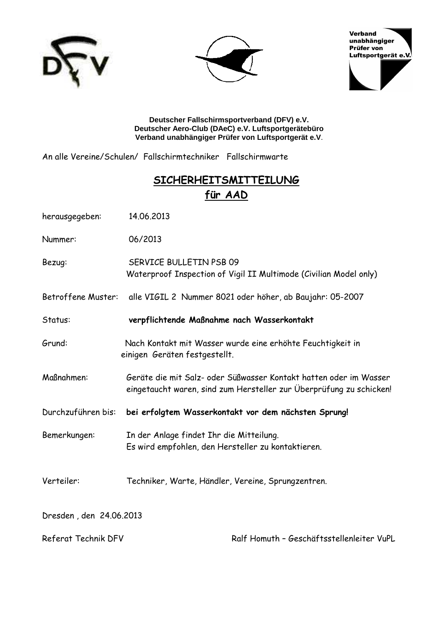





**Deutscher Fallschirmsportverband (DFV) e.V. Deutscher Aero-Club (DAeC) e.V. Luftsportgerätebüro Verband unabhängiger Prüfer von Luftsportgerät e.V**.

An alle Vereine/Schulen/ Fallschirmtechniker Fallschirmwarte

# **---**  für AAD

| herausgegeben:          | 14.06.2013                                                                                                                               |  |  |  |
|-------------------------|------------------------------------------------------------------------------------------------------------------------------------------|--|--|--|
| Nummer:                 | 06/2013                                                                                                                                  |  |  |  |
| Bezug:                  | SERVICE BULLETIN PSB 09<br>Waterproof Inspection of Vigil II Multimode (Civilian Model only)                                             |  |  |  |
| Betroffene Muster:      | alle VIGIL 2 Nummer 8021 oder höher, ab Baujahr: 05-2007                                                                                 |  |  |  |
| Status:                 | verpflichtende Maßnahme nach Wasserkontakt                                                                                               |  |  |  |
| Grund:                  | Nach Kontakt mit Wasser wurde eine erhöhte Feuchtigkeit in<br>einigen Geräten festgestellt.                                              |  |  |  |
| Maßnahmen:              | Geräte die mit Salz- oder Süßwasser Kontakt hatten oder im Wasser<br>eingetaucht waren, sind zum Hersteller zur Überprüfung zu schicken! |  |  |  |
| Durchzuführen bis:      | bei erfolgtem Wasserkontakt vor dem nächsten Sprung!                                                                                     |  |  |  |
| Bemerkungen:            | In der Anlage findet Ihr die Mitteilung.<br>Es wird empfohlen, den Hersteller zu kontaktieren.                                           |  |  |  |
| Verteiler:              | Techniker, Warte, Händler, Vereine, Sprungzentren.                                                                                       |  |  |  |
| Dresden, den 24.06.2013 |                                                                                                                                          |  |  |  |
| Referat Technik DFV     | Ralf Homuth - Geschäftsstellenleiter VuPL                                                                                                |  |  |  |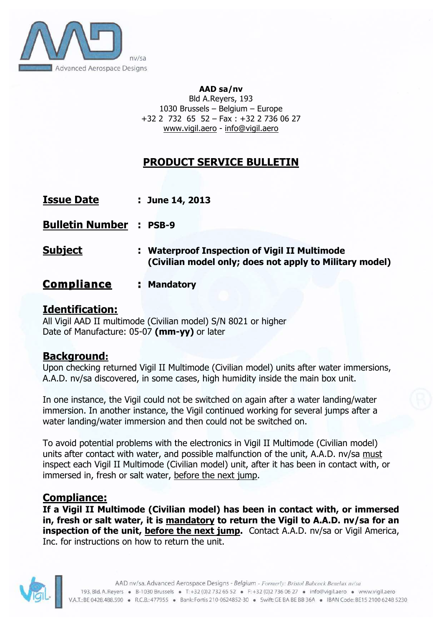

#### **AAD sa/nv**

Bld A.Reyers, 193 1030 Brussels – Belgium – Europe +32 2 732 65 52 – Fax : +32 2 736 06 27 www.vigil.aero - info@vigil.aero

# **PRODUCT SERVICE BULLETIN**

|  | <b>Issue Date</b> |  |  | $:$ June 14, 2013 |
|--|-------------------|--|--|-------------------|
|--|-------------------|--|--|-------------------|

**Bulletin Number : PSB-9**

- **Subject : Waterproof Inspection of Vigil II Multimode (Civilian model only; does not apply to Military model)**
- **Compliance : Mandatory**

## **Identification:**

All Vigil AAD II multimode (Civilian model) S/N 8021 or higher Date of Manufacture: 05-07 **(mm-yy)** or later

## **Background:**

Upon checking returned Vigil II Multimode (Civilian model) units after water immersions, A.A.D. nv/sa discovered, in some cases, high humidity inside the main box unit.

In one instance, the Vigil could not be switched on again after a water landing/water immersion. In another instance, the Vigil continued working for several jumps after a water landing/water immersion and then could not be switched on.

To avoid potential problems with the electronics in Vigil II Multimode (Civilian model) units after contact with water, and possible malfunction of the unit, A.A.D. nv/sa must inspect each Vigil II Multimode (Civilian model) unit, after it has been in contact with, or immersed in, fresh or salt water, before the next jump.

### **Compliance:**

**If a Vigil II Multimode (Civilian model) has been in contact with, or immersed in, fresh or salt water, it is mandatory to return the Vigil to A.A.D. nv/sa for an inspection of the unit, before the next jump.** Contact A.A.D. nv/sa or Vigil America, Inc. for instructions on how to return the unit.